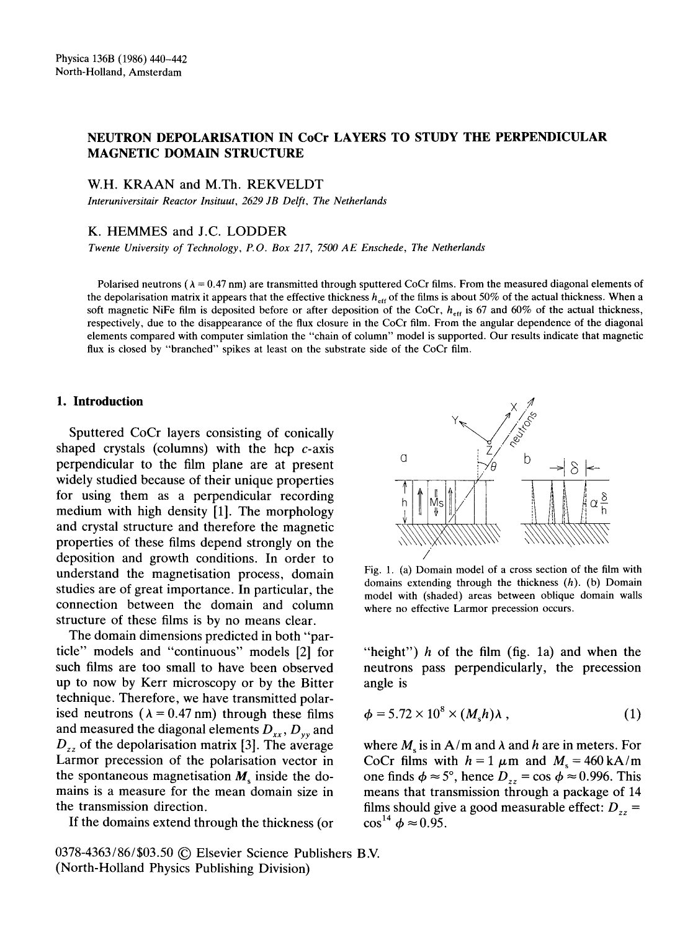# NEUTRON DEPOLARISATION IN CoCr LAYERS TO STUDY THE PERPENDICULAR MAGNETIC DOMAIN STRUCTURE

W.H. KRAAN and M.Th. REKVELDT

*Interuniversitair Reactor Insituut, 2629 JB Delft, The Netherlands* 

## K. HEMMES and J.C. LODDER

*Twente University of Technology, P.O. Box 217, 7500 AE Enschede, The Netherlands* 

Polarised neutrons ( $\lambda = 0.47$  nm) are transmitted through sputtered CoCr films. From the measured diagonal elements of the depolarisation matrix it appears that the effective thickness  $h_{\text{eff}}$  of the films is about 50% of the actual thickness. When a soft magnetic NiFe film is deposited before or after deposition of the CoCr,  $h_{\text{eff}}$  is 67 and 60% of the actual thickness, respectively, due to the disappearance of the flux closure in the CoCr film. From the angular dependence of the diagonal elements compared with computer simlation the "chain of column" model is supported. Our results indicate that magnetic flux is closed by "branched" spikes at least on the substrate side of the CoCr film.

#### **I. Introduction**

Sputtered CoCr layers consisting of conically shaped crystals (columns) with the hcp  $c$ -axis perpendicular to the film plane are at present widely studied because of their unique properties for using them as a perpendicular recording medium with high density [1]. The morphology and crystal structure and therefore the magnetic properties of these films depend strongly on the deposition and growth conditions. In order to understand the magnetisation process, domain studies are of great importance. In particular, the connection between the domain and column structure of these films is by no means clear.

The domain dimensions predicted in both "particle" models and "continuous" models [2] for such films are too small to have been observed up to now by Kerr microscopy or by the Bitter technique. Therefore, we have transmitted polarised neutrons ( $\lambda = 0.47$  nm) through these films and measured the diagonal elements  $D_{xx}$ ,  $D_{yy}$  and  $D_{zz}$  of the depolarisation matrix [3]. The average Larmor precession of the polarisation vector in the spontaneous magnetisation  $M_s$  inside the domains is a measure for the mean domain size in the transmission direction.

If the domains extend through the thickness (or

0378-4363/86/\$03.50 © Elsevier Science Publishers B.V. (North-Holland Physics Publishing Division)



Fig. 1. (a) Domain model of a cross section of the film with domains extending through the thickness  $(h)$ . (b) Domain model with (shaded) areas between oblique domain walls where no effective Larmor precession occurs.

"height")  $h$  of the film (fig. 1a) and when the neutrons pass perpendicularly, the precession angle is

$$
\phi = 5.72 \times 10^8 \times (M_s h) \lambda , \qquad (1)
$$

where  $M_s$  is in A/m and  $\lambda$  and h are in meters. For CoCr films with  $h = 1 \mu m$  and  $M_s = 460 \text{ kA/m}$ one finds  $\phi \approx 5^{\circ}$ , hence  $D_{zz} = \cos \phi \approx 0.996$ . This means that transmission through a package of 14 films should give a good measurable effect:  $D_{zz}$  =  $\cos^{14} \phi \approx 0.95.$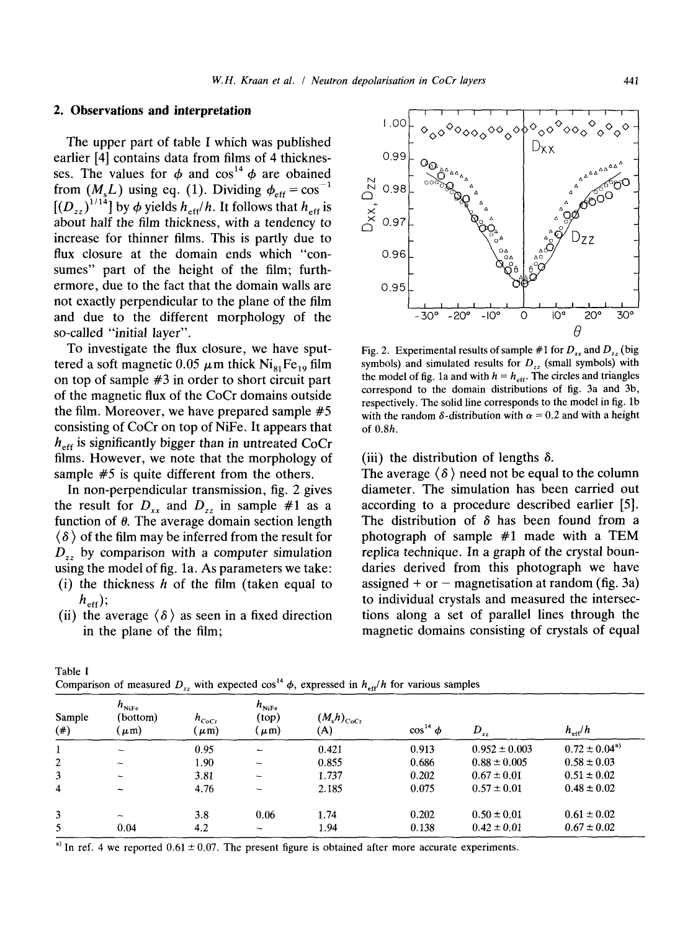## **2. Observations and interpretation**

The upper part of table I which was published earlier [4] contains data from films of 4 thicknesses. The values for  $\phi$  and  $\cos^{14} \phi$  are obained from  $(M_{\varepsilon}L)$  using eq. (1). Dividing  $\phi_{\varepsilon_{ff}} = \cos^{-1}$  $[(D_{\gamma})^{1/14}]$  by  $\phi$  yields  $h_{\text{eff}}/h$ . It follows that  $h_{\text{eff}}$  is about half the film thickness, with a tendency to increase for thinner films. This is partly due to flux closure at the domain ends which "consumes" part of the height of the film; furthermore, due to the fact that the domain walls are not exactly perpendicular to the plane of the film and due to the different morphology of the so-called "initial layer".

To investigate the flux closure, we have sputtered a soft magnetic 0.05  $\mu$ m thick Ni<sub>81</sub>Fe<sub>19</sub> film on top of sample #3 in order to short circuit part of the magnetic flux of the CoCr domains outside the film. Moreover, we have prepared sample #5 consisting of CoCr on top of NiFe. It appears that  $h_{\text{eff}}$  is significantly bigger than in untreated CoCr films. However, we note that the morphology of sample #5 is quite different from the others.

In non-perpendicular transmission, fig. 2 gives the result for  $D_{xx}$  and  $D_{zz}$  in sample #1 as a function of  $\theta$ . The average domain section length  $\langle \delta \rangle$  of the film may be inferred from the result for *Dz~* by comparison with a computer simulation using the model of fig. la. As parameters we take: (i) the thickness  $h$  of the film (taken equal to

 $h_{\text{eff}}$ ); (ii) the average  $\langle \delta \rangle$  as seen in a fixed direction in the plane of the film;



Fig. 2. Experimental results of sample  $#1$  for  $D_{xx}$  and  $D_{yy}$  (big symbols) and simulated results for  $D_{zz}$  (small symbols) with the model of fig. 1a and with  $h = h_{\text{eff}}$ . The circles and triangles correspond to the domain distributions of fig. 3a and 3b, respectively. The solid line corresponds to the model in fig. lb with the random  $\delta$ -distribution with  $\alpha = 0.2$  and with a height of 0.8h.

(iii) the distribution of lengths  $\delta$ .

The average  $\langle \delta \rangle$  need not be equal to the column diameter. The simulation has been carried out according to a procedure described earlier [5]. The distribution of  $\delta$  has been found from a photograph of sample #1 made with a TEM replica technique. In a graph of the crystal boundaries derived from this photograph we have assigned + or  $-$  magnetisation at random (fig. 3a) to individual crystals and measured the intersections along a set of parallel lines through the magnetic domains consisting of crystals of equal

| comparison of measures $D_{\ell_2}$ , with expected cost $\varphi_3$ expressed in $\alpha_{\ell_1}$ and various samples |                                            |                         |                                         |                         |                  |                   |                            |
|-------------------------------------------------------------------------------------------------------------------------|--------------------------------------------|-------------------------|-----------------------------------------|-------------------------|------------------|-------------------|----------------------------|
| Sample<br>$(\#)$                                                                                                        | $h_{\text{NiFe}}$<br>(bottom)<br>$(\mu m)$ | $h_{CoCr}$<br>$(\mu m)$ | $h_{\text{NiFe}}$<br>(top)<br>$(\mu m)$ | $(M_s h)_{CoCr}$<br>(A) | $\cos^{14} \phi$ | $D_{zz}$          | $h_{\text{eff}}/h$         |
|                                                                                                                         | -                                          | 0.95                    |                                         | 0.421                   | 0.913            | $0.952 \pm 0.003$ | $0.72 \pm 0.04^{\text{a}}$ |
| $\overline{c}$                                                                                                          |                                            | 1.90                    |                                         | 0.855                   | 0.686            | $0.88 \pm 0.005$  | $0.58 \pm 0.03$            |
| 3                                                                                                                       |                                            | 3.81                    |                                         | 1.737                   | 0.202            | $0.67 \pm 0.01$   | $0.51 \pm 0.02$            |
| 4                                                                                                                       | $\overline{\phantom{0}}$                   | 4.76                    |                                         | 2.185                   | 0.075            | $0.57 \pm 0.01$   | $0.48 \pm 0.02$            |
| 3                                                                                                                       | $\overline{\phantom{a}}$                   | 3.8                     | 0.06                                    | 1.74                    | 0.202            | $0.50 \pm 0.01$   | $0.61 \pm 0.02$            |
| 5                                                                                                                       | 0.04                                       | 4.2                     | $\overline{\phantom{a}}$                | 1.94                    | 0.138            | $0.42 \pm 0.01$   | $0.67 \pm 0.02$            |

Table I Comparison of measured D~ with expected  $\cos^{14}$   $\phi$  expressed in *h*  $/h$  for various samples

<sup>a)</sup> In ref. 4 we reported  $0.61 \pm 0.07$ . The present figure is obtained after more accurate experiments.